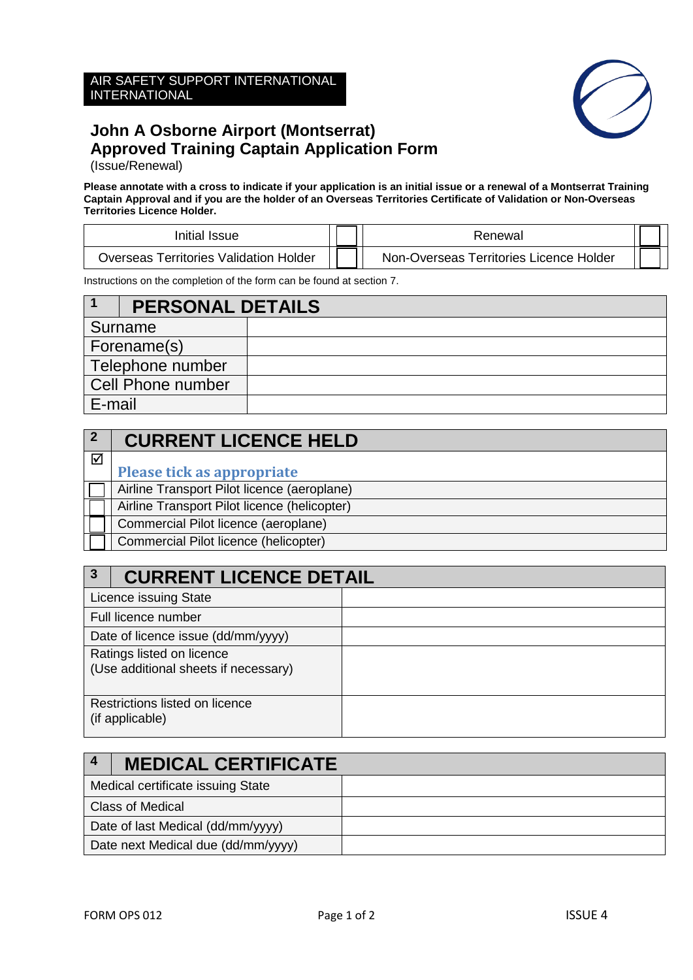### AIR SAFETY SUPPORT INTERNATIONAL INTERNATIONAL



### **John A Osborne Airport (Montserrat) Approved Training Captain Application Form**

(Issue/Renewal)

#### **Please annotate with a cross to indicate if your application is an initial issue or a renewal of a Montserrat Training Captain Approval and if you are the holder of an Overseas Territories Certificate of Validation or Non-Overseas Territories Licence Holder.**

| Initial Issue                          | Renewal                                 |  |
|----------------------------------------|-----------------------------------------|--|
| Overseas Territories Validation Holder | Non-Overseas Territories Licence Holder |  |

Instructions on the completion of the form can be found at section 7.

|        | <b>PERSONAL DETAILS</b>  |  |
|--------|--------------------------|--|
|        | Surname                  |  |
|        | Forename(s)              |  |
|        | Telephone number         |  |
|        | <b>Cell Phone number</b> |  |
| E-mail |                          |  |

|                 | <b>CURRENT LICENCE HELD</b>                  |
|-----------------|----------------------------------------------|
| $\triangledown$ |                                              |
|                 | Please tick as appropriate                   |
|                 | Airline Transport Pilot licence (aeroplane)  |
|                 | Airline Transport Pilot licence (helicopter) |
|                 | Commercial Pilot licence (aeroplane)         |
|                 | Commercial Pilot licence (helicopter)        |

| 3                                                                 | <b>CURRENT LICENCE DETAIL</b> |  |
|-------------------------------------------------------------------|-------------------------------|--|
|                                                                   | Licence issuing State         |  |
|                                                                   | Full licence number           |  |
| Date of licence issue (dd/mm/yyyy)                                |                               |  |
| Ratings listed on licence<br>(Use additional sheets if necessary) |                               |  |
| Restrictions listed on licence<br>(if applicable)                 |                               |  |

|                                    | <b>MEDICAL CERTIFICATE</b> |  |
|------------------------------------|----------------------------|--|
| Medical certificate issuing State  |                            |  |
| <b>Class of Medical</b>            |                            |  |
| Date of last Medical (dd/mm/yyyy)  |                            |  |
| Date next Medical due (dd/mm/yyyy) |                            |  |